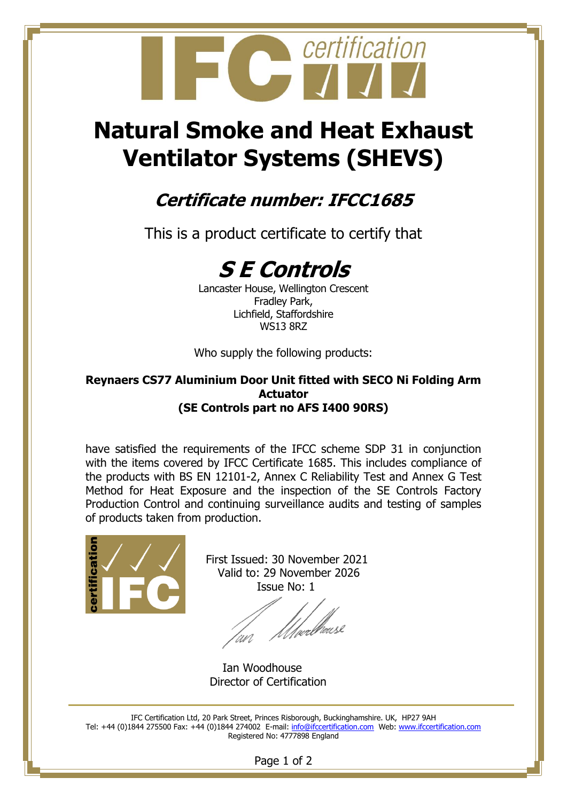

# **Natural Smoke and Heat Exhaust Ventilator Systems (SHEVS)**

### **Certificate number: IFCC1685**

This is a product certificate to certify that

## **S E Controls**

Lancaster House, Wellington Crescent Fradley Park, Lichfield, Staffordshire WS13 8RZ

Who supply the following products:

#### **Reynaers CS77 Aluminium Door Unit fitted with SECO Ni Folding Arm Actuator (SE Controls part no AFS I400 90RS)**

have satisfied the requirements of the IFCC scheme SDP 31 in conjunction with the items covered by IFCC Certificate 1685. This includes compliance of the products with BS EN 12101-2, Annex C Reliability Test and Annex G Test Method for Heat Exposure and the inspection of the SE Controls Factory Production Control and continuing surveillance audits and testing of samples of products taken from production.



 First Issued: 30 November 2021 Valid to: 29 November 2026 Issue No: 1

l<br>/pedhewsl

Ian Woodhouse Director of Certification

IFC Certification Ltd, 20 Park Street, Princes Risborough, Buckinghamshire. UK, HP27 9AH Tel: +44 (0)1844 275500 Fax: +44 (0)1844 274002 E-mail: [info@ifccertification.com](mailto:info@ifccertification.com) Web: [www.ifccertification.com](http://www.ifccertification.com/) Registered No: 4777898 England

Page 1 of 2